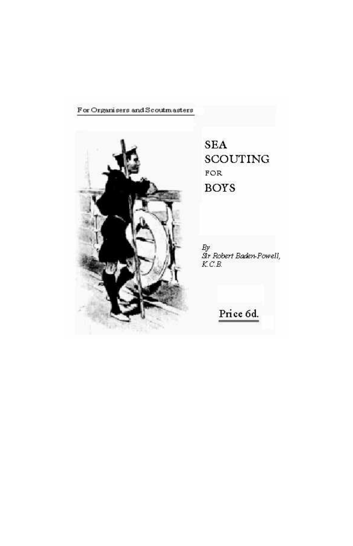#### For Organisers and Scoutmasters



**SEA SCOUTING** FOR **BOYS** 

By<br>Str Robert Baden-Powell,<br>K.C.B.

Price 6d.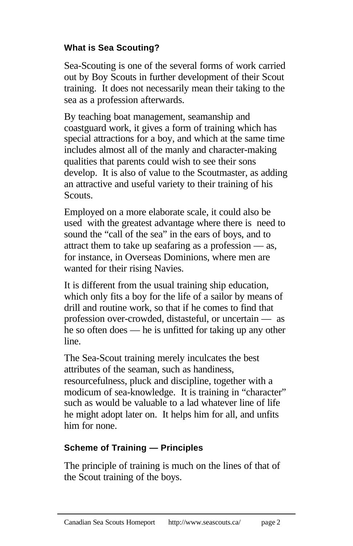## **What is Sea Scouting?**

Sea-Scouting is one of the several forms of work carried out by Boy Scouts in further development of their Scout training. It does not necessarily mean their taking to the sea as a profession afterwards.

By teaching boat management, seamanship and coastguard work, it gives a form of training which has special attractions for a boy, and which at the same time includes almost all of the manly and character-making qualities that parents could wish to see their sons develop. It is also of value to the Scoutmaster, as adding an attractive and useful variety to their training of his Scouts.

Employed on a more elaborate scale, it could also be used with the greatest advantage where there is need to sound the "call of the sea" in the ears of boys, and to attract them to take up seafaring as a profession — as, for instance, in Overseas Dominions, where men are wanted for their rising Navies.

It is different from the usual training ship education, which only fits a boy for the life of a sailor by means of drill and routine work, so that if he comes to find that profession over-crowded, distasteful, or uncertain — as he so often does — he is unfitted for taking up any other line.

The Sea-Scout training merely inculcates the best attributes of the seaman, such as handiness, resourcefulness, pluck and discipline, together with a modicum of sea-knowledge. It is training in "character" such as would be valuable to a lad whatever line of life he might adopt later on. It helps him for all, and unfits him for none.

#### **Scheme of Training — Principles**

The principle of training is much on the lines of that of the Scout training of the boys.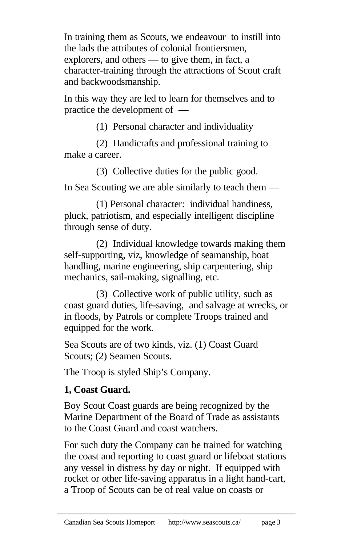In training them as Scouts, we endeavour to instill into the lads the attributes of colonial frontiersmen, explorers, and others — to give them, in fact, a character-training through the attractions of Scout craft and backwoodsmanship.

In this way they are led to learn for themselves and to practice the development of —

(1) Personal character and individuality

(2) Handicrafts and professional training to make a career.

(3) Collective duties for the public good.

In Sea Scouting we are able similarly to teach them —

(1) Personal character: individual handiness, pluck, patriotism, and especially intelligent discipline through sense of duty.

(2) Individual knowledge towards making them self-supporting, viz, knowledge of seamanship, boat handling, marine engineering, ship carpentering, ship mechanics, sail-making, signalling, etc.

(3) Collective work of public utility, such as coast guard duties, life-saving, and salvage at wrecks, or in floods, by Patrols or complete Troops trained and equipped for the work.

Sea Scouts are of two kinds, viz. (1) Coast Guard Scouts; (2) Seamen Scouts.

The Troop is styled Ship's Company.

# **1, Coast Guard.**

Boy Scout Coast guards are being recognized by the Marine Department of the Board of Trade as assistants to the Coast Guard and coast watchers.

For such duty the Company can be trained for watching the coast and reporting to coast guard or lifeboat stations any vessel in distress by day or night. If equipped with rocket or other life-saving apparatus in a light hand-cart, a Troop of Scouts can be of real value on coasts or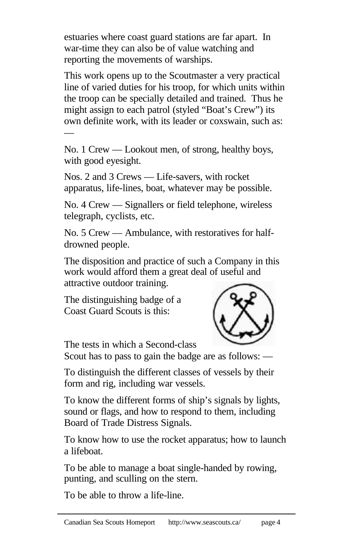estuaries where coast guard stations are far apart. In war-time they can also be of value watching and reporting the movements of warships.

This work opens up to the Scoutmaster a very practical line of varied duties for his troop, for which units within the troop can be specially detailed and trained. Thus he might assign to each patrol (styled "Boat's Crew") its own definite work, with its leader or coxswain, such as: —

No. 1 Crew — Lookout men, of strong, healthy boys, with good eyesight.

Nos. 2 and 3 Crews — Life-savers, with rocket apparatus, life-lines, boat, whatever may be possible.

No. 4 Crew — Signallers or field telephone, wireless telegraph, cyclists, etc.

No. 5 Crew — Ambulance, with restoratives for halfdrowned people.

The disposition and practice of such a Company in this work would afford them a great deal of useful and attractive outdoor training.

The distinguishing badge of a Coast Guard Scouts is this:



The tests in which a Second-class

Scout has to pass to gain the badge are as follows: —

To distinguish the different classes of vessels by their form and rig, including war vessels.

To know the different forms of ship's signals by lights, sound or flags, and how to respond to them, including Board of Trade Distress Signals.

To know how to use the rocket apparatus; how to launch a lifeboat.

To be able to manage a boat single-handed by rowing, punting, and sculling on the stern.

To be able to throw a life-line.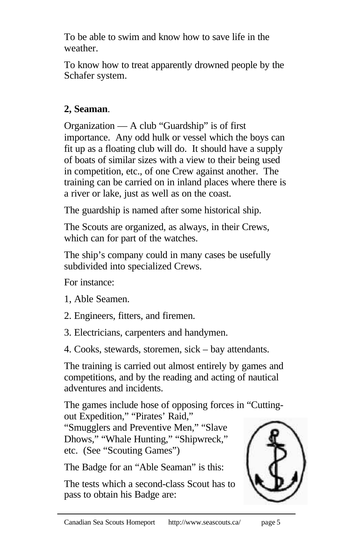To be able to swim and know how to save life in the weather.

To know how to treat apparently drowned people by the Schafer system.

# **2, Seaman**.

Organization — A club "Guardship" is of first importance. Any odd hulk or vessel which the boys can fit up as a floating club will do. It should have a supply of boats of similar sizes with a view to their being used in competition, etc., of one Crew against another. The training can be carried on in inland places where there is a river or lake, just as well as on the coast.

The guardship is named after some historical ship.

The Scouts are organized, as always, in their Crews, which can for part of the watches.

The ship's company could in many cases be usefully subdivided into specialized Crews.

For instance:

1, Able Seamen.

- 2. Engineers, fitters, and firemen.
- 3. Electricians, carpenters and handymen.
- 4. Cooks, stewards, storemen, sick bay attendants.

The training is carried out almost entirely by games and competitions, and by the reading and acting of nautical adventures and incidents.

The games include hose of opposing forces in "Cuttingout Expedition," "Pirates' Raid,"

"Smugglers and Preventive Men," "Slave Dhows," "Whale Hunting," "Shipwreck," etc. (See "Scouting Games")

The Badge for an "Able Seaman" is this:

The tests which a second-class Scout has to pass to obtain his Badge are:

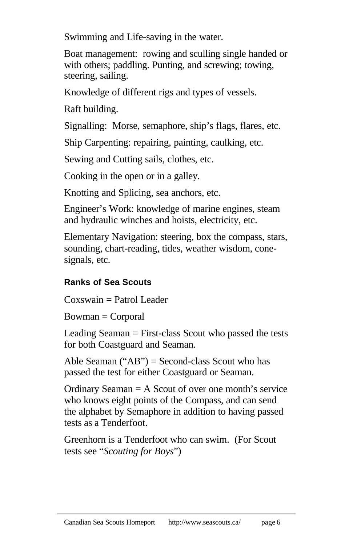Swimming and Life-saving in the water.

Boat management: rowing and sculling single handed or with others; paddling. Punting, and screwing; towing, steering, sailing.

Knowledge of different rigs and types of vessels.

Raft building.

Signalling: Morse, semaphore, ship's flags, flares, etc.

Ship Carpenting: repairing, painting, caulking, etc.

Sewing and Cutting sails, clothes, etc.

Cooking in the open or in a galley.

Knotting and Splicing, sea anchors, etc.

Engineer's Work: knowledge of marine engines, steam and hydraulic winches and hoists, electricity, etc.

Elementary Navigation: steering, box the compass, stars, sounding, chart-reading, tides, weather wisdom, conesignals, etc.

## **Ranks of Sea Scouts**

Coxswain = Patrol Leader

 $Bowman = Corporal$ 

Leading Seaman = First-class Scout who passed the tests for both Coastguard and Seaman.

Able Seaman  $("AB")$  = Second-class Scout who has passed the test for either Coastguard or Seaman.

Ordinary Seaman = A Scout of over one month's service who knows eight points of the Compass, and can send the alphabet by Semaphore in addition to having passed tests as a Tenderfoot.

Greenhorn is a Tenderfoot who can swim. (For Scout tests see "*Scouting for Boys*")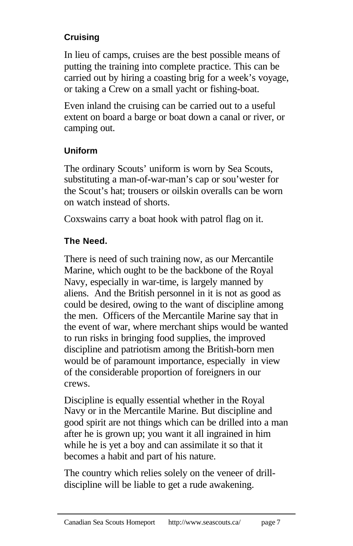# **Cruising**

In lieu of camps, cruises are the best possible means of putting the training into complete practice. This can be carried out by hiring a coasting brig for a week's voyage, or taking a Crew on a small yacht or fishing-boat.

Even inland the cruising can be carried out to a useful extent on board a barge or boat down a canal or river, or camping out.

## **Uniform**

The ordinary Scouts' uniform is worn by Sea Scouts, substituting a man-of-war-man's cap or sou'wester for the Scout's hat; trousers or oilskin overalls can be worn on watch instead of shorts.

Coxswains carry a boat hook with patrol flag on it.

## **The Need.**

There is need of such training now, as our Mercantile Marine, which ought to be the backbone of the Royal Navy, especially in war-time, is largely manned by aliens. And the British personnel in it is not as good as could be desired, owing to the want of discipline among the men. Officers of the Mercantile Marine say that in the event of war, where merchant ships would be wanted to run risks in bringing food supplies, the improved discipline and patriotism among the British-born men would be of paramount importance, especially in view of the considerable proportion of foreigners in our crews.

Discipline is equally essential whether in the Royal Navy or in the Mercantile Marine. But discipline and good spirit are not things which can be drilled into a man after he is grown up; you want it all ingrained in him while he is yet a boy and can assimilate it so that it becomes a habit and part of his nature.

The country which relies solely on the veneer of drilldiscipline will be liable to get a rude awakening.